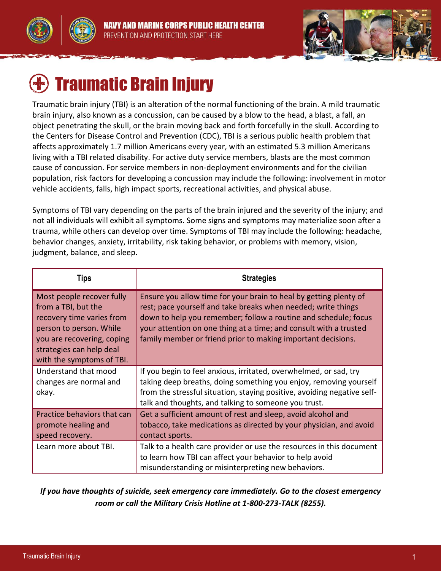



# Traumatic Brain Injury

Traumatic brain injury (TBI) is an alteration of the normal functioning of the brain. A mild traumatic brain injury, also known as a concussion, can be caused by a blow to the head, a blast, a fall, an object penetrating the skull, or the brain moving back and forth forcefully in the skull. According to the Centers for Disease Control and Prevention (CDC), TBI is a serious public health problem that affects approximately 1.7 million Americans every year, with an estimated 5.3 million Americans living with a TBI related disability. For active duty service members, blasts are the most common cause of concussion. For service members in non-deployment environments and for the civilian population, risk factors for developing a concussion may include the following: involvement in motor vehicle accidents, falls, high impact sports, recreational activities, and physical abuse.

Symptoms of TBI vary depending on the parts of the brain injured and the severity of the injury; and not all individuals will exhibit all symptoms. Some signs and symptoms may materialize soon after a trauma, while others can develop over time. Symptoms of TBI may include the following: headache, behavior changes, anxiety, irritability, risk taking behavior, or problems with memory, vision, judgment, balance, and sleep.

| Tips                                                                                                                                                                                            | <b>Strategies</b>                                                                                                                                                                                                                                                                                                                          |
|-------------------------------------------------------------------------------------------------------------------------------------------------------------------------------------------------|--------------------------------------------------------------------------------------------------------------------------------------------------------------------------------------------------------------------------------------------------------------------------------------------------------------------------------------------|
| Most people recover fully<br>from a TBI, but the<br>recovery time varies from<br>person to person. While<br>you are recovering, coping<br>strategies can help deal<br>with the symptoms of TBI. | Ensure you allow time for your brain to heal by getting plenty of<br>rest; pace yourself and take breaks when needed; write things<br>down to help you remember; follow a routine and schedule; focus<br>your attention on one thing at a time; and consult with a trusted<br>family member or friend prior to making important decisions. |
| Understand that mood<br>changes are normal and<br>okay.                                                                                                                                         | If you begin to feel anxious, irritated, overwhelmed, or sad, try<br>taking deep breaths, doing something you enjoy, removing yourself<br>from the stressful situation, staying positive, avoiding negative self-<br>talk and thoughts, and talking to someone you trust.                                                                  |
| Practice behaviors that can<br>promote healing and<br>speed recovery.                                                                                                                           | Get a sufficient amount of rest and sleep, avoid alcohol and<br>tobacco, take medications as directed by your physician, and avoid<br>contact sports.                                                                                                                                                                                      |
| Learn more about TBI.                                                                                                                                                                           | Talk to a health care provider or use the resources in this document<br>to learn how TBI can affect your behavior to help avoid<br>misunderstanding or misinterpreting new behaviors.                                                                                                                                                      |

*If you have thoughts of suicide, seek emergency care immediately. Go to the closest emergency room or call the Military Crisis Hotline at 1-800-273-TALK (8255).*